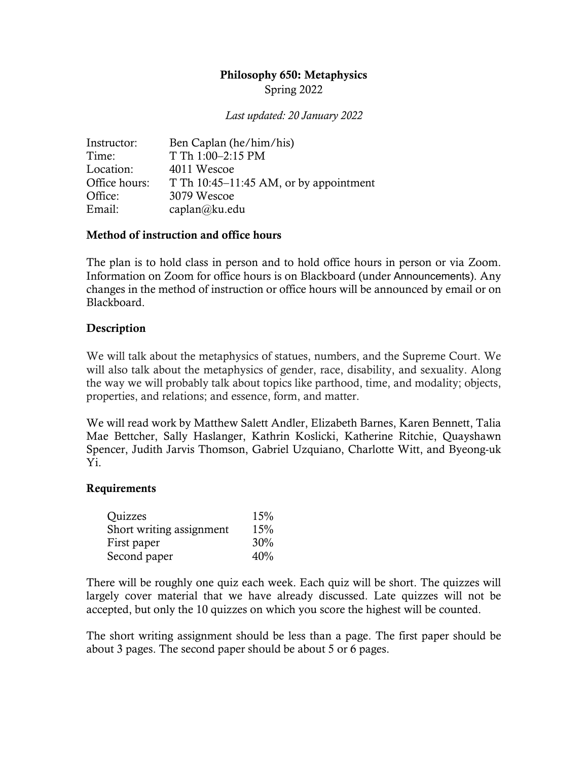# Philosophy 650: Metaphysics

Spring 2022

*Last updated: 20 January 2022*

| Instructor:   | Ben Caplan (he/him/his)                |
|---------------|----------------------------------------|
| Time:         | T Th 1:00-2:15 PM                      |
| Location:     | 4011 Wescoe                            |
| Office hours: | T Th 10:45–11:45 AM, or by appointment |
| Office:       | 3079 Wescoe                            |
| Email:        | caplan@ku.edu                          |

## Method of instruction and office hours

The plan is to hold class in person and to hold office hours in person or via Zoom. Information on Zoom for office hours is on Blackboard (under Announcements). Any changes in the method of instruction or office hours will be announced by email or on Blackboard.

## **Description**

We will talk about the metaphysics of statues, numbers, and the Supreme Court. We will also talk about the metaphysics of gender, race, disability, and sexuality. Along the way we will probably talk about topics like parthood, time, and modality; objects, properties, and relations; and essence, form, and matter.

We will read work by Matthew Salett Andler, Elizabeth Barnes, Karen Bennett, Talia Mae Bettcher, Sally Haslanger, Kathrin Koslicki, Katherine Ritchie, Quayshawn Spencer, Judith Jarvis Thomson, Gabriel Uzquiano, Charlotte Witt, and Byeong-uk Yi.

#### Requirements

| Quizzes                  | 15% |  |
|--------------------------|-----|--|
| Short writing assignment | 15% |  |
| First paper              | 30% |  |
| Second paper             | 40% |  |

There will be roughly one quiz each week. Each quiz will be short. The quizzes will largely cover material that we have already discussed. Late quizzes will not be accepted, but only the 10 quizzes on which you score the highest will be counted.

The short writing assignment should be less than a page. The first paper should be about 3 pages. The second paper should be about 5 or 6 pages.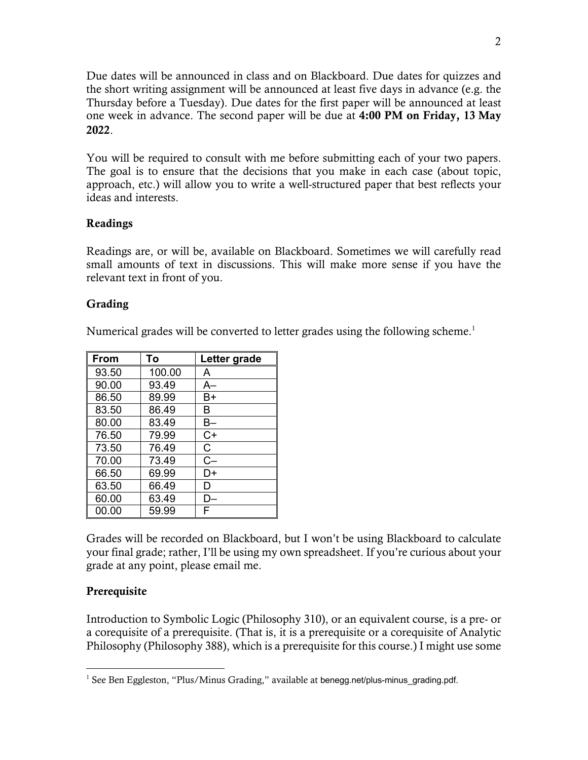Due dates will be announced in class and on Blackboard. Due dates for quizzes and the short writing assignment will be announced at least five days in advance (e.g. the Thursday before a Tuesday). Due dates for the first paper will be announced at least one week in advance. The second paper will be due at 4:00 PM on Friday, 13 May 2022.

You will be required to consult with me before submitting each of your two papers. The goal is to ensure that the decisions that you make in each case (about topic, approach, etc.) will allow you to write a well-structured paper that best reflects your ideas and interests.

## Readings

Readings are, or will be, available on Blackboard. Sometimes we will carefully read small amounts of text in discussions. This will make more sense if you have the relevant text in front of you.

## **Grading**

Numerical grades will be converted to letter grades using the following scheme.<sup>1</sup>

| l From | To     | Letter grade |
|--------|--------|--------------|
| 93.50  | 100.00 | A            |
| 90.00  | 93.49  | A–           |
| 86.50  | 89.99  | В+           |
| 83.50  | 86.49  | в            |
| 80.00  | 83.49  | B–           |
| 76.50  | 79.99  | $C+$         |
| 73.50  | 76.49  | C.           |
| 70.00  | 73.49  | $C-$         |
| 66.50  | 69.99  | D+           |
| 63.50  | 66.49  | D            |
| 60.00  | 63.49  | D-           |
| 00.00  | 59.99  | F            |

Grades will be recorded on Blackboard, but I won't be using Blackboard to calculate your final grade; rather, I'll be using my own spreadsheet. If you're curious about your grade at any point, please email me.

## Prerequisite

Introduction to Symbolic Logic (Philosophy 310), or an equivalent course, is a pre- or a corequisite of a prerequisite. (That is, it is a prerequisite or a corequisite of Analytic Philosophy (Philosophy 388), which is a prerequisite for this course.) I might use some

<sup>&</sup>lt;sup>1</sup> See Ben Eggleston, "Plus/Minus Grading," available at benegg.net/plus-minus\_grading.pdf.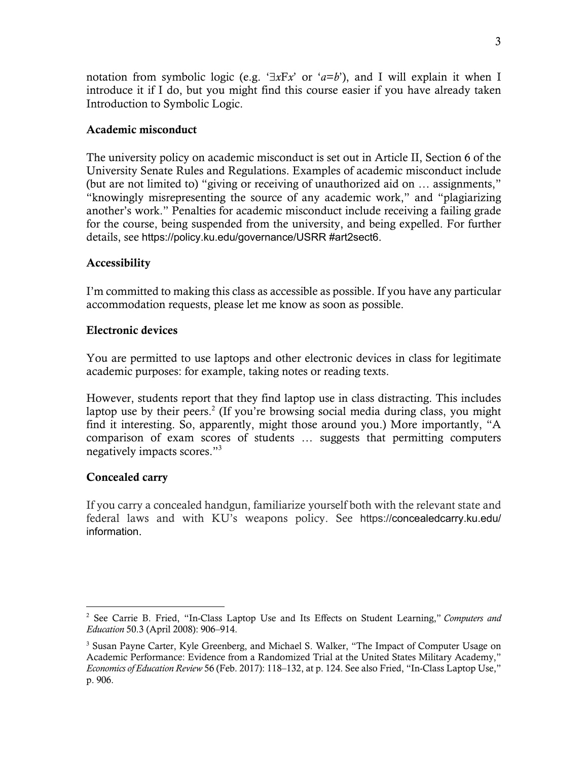notation from symbolic logic (e.g.  $\exists x Fx'$  or  $a=b'$ ), and I will explain it when I introduce it if I do, but you might find this course easier if you have already taken Introduction to Symbolic Logic.

#### Academic misconduct

The university policy on academic misconduct is set out in Article II, Section 6 of the University Senate Rules and Regulations. Examples of academic misconduct include (but are not limited to) "giving or receiving of unauthorized aid on … assignments," "knowingly misrepresenting the source of any academic work," and "plagiarizing another's work." Penalties for academic misconduct include receiving a failing grade for the course, being suspended from the university, and being expelled. For further details, see https://policy.ku.edu/governance/USRR #art2sect6.

#### Accessibility

I'm committed to making this class as accessible as possible. If you have any particular accommodation requests, please let me know as soon as possible.

#### Electronic devices

You are permitted to use laptops and other electronic devices in class for legitimate academic purposes: for example, taking notes or reading texts.

However, students report that they find laptop use in class distracting. This includes laptop use by their peers.<sup>2</sup> (If you're browsing social media during class, you might find it interesting. So, apparently, might those around you.) More importantly, "A comparison of exam scores of students … suggests that permitting computers negatively impacts scores."3

## Concealed carry

If you carry a concealed handgun, familiarize yourself both with the relevant state and federal laws and with KU's weapons policy. See https://concealedcarry.ku.edu/ information.

<sup>2</sup> See Carrie B. Fried, "In-Class Laptop Use and Its Effects on Student Learning," *Computers and Education* 50.3 (April 2008): 906–914.

<sup>&</sup>lt;sup>3</sup> Susan Payne Carter, Kyle Greenberg, and Michael S. Walker, "The Impact of Computer Usage on Academic Performance: Evidence from a Randomized Trial at the United States Military Academy," *Economics of Education Review* 56 (Feb. 2017): 118–132, at p. 124. See also Fried, "In-Class Laptop Use," p. 906.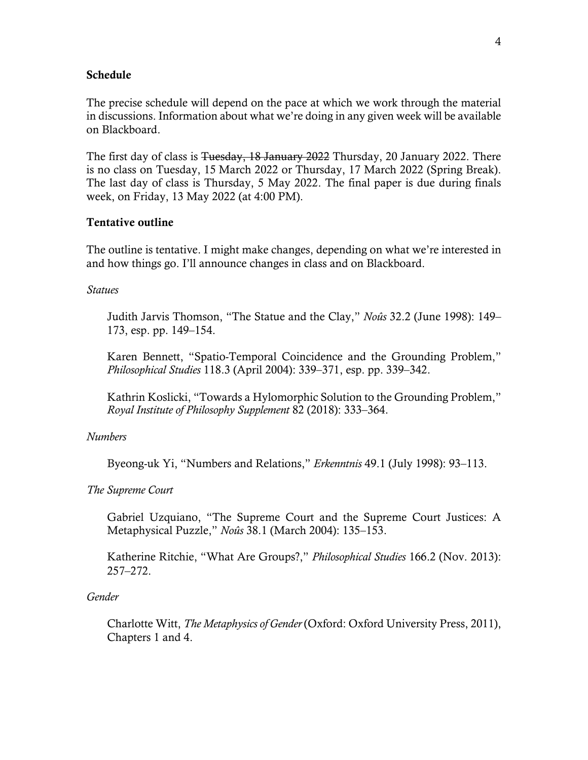#### Schedule

The precise schedule will depend on the pace at which we work through the material in discussions. Information about what we're doing in any given week will be available on Blackboard.

The first day of class is Tuesday, 18 January 2022 Thursday, 20 January 2022. There is no class on Tuesday, 15 March 2022 or Thursday, 17 March 2022 (Spring Break). The last day of class is Thursday, 5 May 2022. The final paper is due during finals week, on Friday, 13 May 2022 (at 4:00 PM).

#### Tentative outline

The outline is tentative. I might make changes, depending on what we're interested in and how things go. I'll announce changes in class and on Blackboard.

*Statues*

Judith Jarvis Thomson, "The Statue and the Clay," *Noûs* 32.2 (June 1998): 149– 173, esp. pp. 149–154.

Karen Bennett, "Spatio-Temporal Coincidence and the Grounding Problem," *Philosophical Studies* 118.3 (April 2004): 339–371, esp. pp. 339–342.

Kathrin Koslicki, "Towards a Hylomorphic Solution to the Grounding Problem," *Royal Institute of Philosophy Supplement* 82 (2018): 333–364.

#### *Numbers*

Byeong-uk Yi, "Numbers and Relations," *Erkenntnis* 49.1 (July 1998): 93–113.

*The Supreme Court*

Gabriel Uzquiano, "The Supreme Court and the Supreme Court Justices: A Metaphysical Puzzle," *Noûs* 38.1 (March 2004): 135–153.

Katherine Ritchie, "What Are Groups?," *Philosophical Studies* 166.2 (Nov. 2013): 257–272.

#### *Gender*

Charlotte Witt, *The Metaphysics of Gender* (Oxford: Oxford University Press, 2011), Chapters 1 and 4.